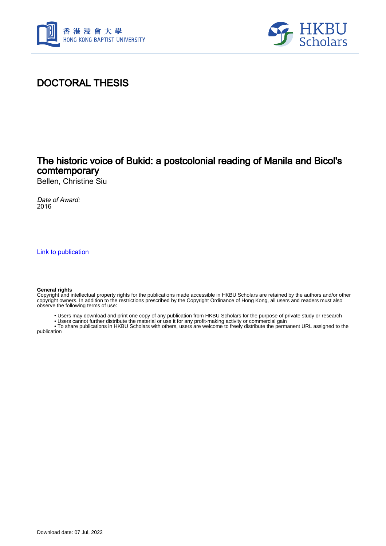



# DOCTORAL THESIS

## The historic voice of Bukid: a postcolonial reading of Manila and Bicol's comtemporary

Bellen, Christine Siu

Date of Award: 2016

[Link to publication](https://scholars.hkbu.edu.hk/en/studentTheses/299d5a9e-b1f0-49e4-a9db-e42e19acd38c)

#### **General rights**

Copyright and intellectual property rights for the publications made accessible in HKBU Scholars are retained by the authors and/or other copyright owners. In addition to the restrictions prescribed by the Copyright Ordinance of Hong Kong, all users and readers must also observe the following terms of use:

- Users may download and print one copy of any publication from HKBU Scholars for the purpose of private study or research
- Users cannot further distribute the material or use it for any profit-making activity or commercial gain

 • To share publications in HKBU Scholars with others, users are welcome to freely distribute the permanent URL assigned to the publication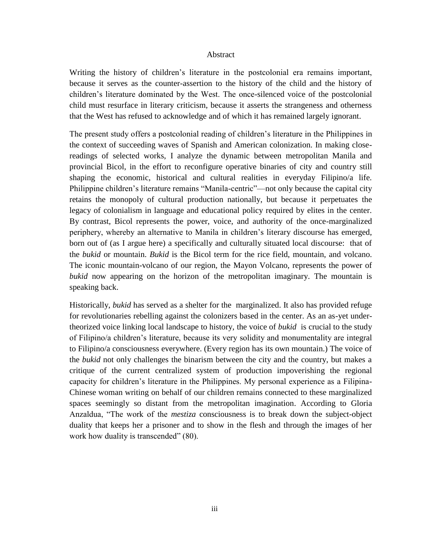### Abstract

Writing the history of children's literature in the postcolonial era remains important, because it serves as the counter-assertion to the history of the child and the history of children's literature dominated by the West. The once-silenced voice of the postcolonial child must resurface in literary criticism, because it asserts the strangeness and otherness that the West has refused to acknowledge and of which it has remained largely ignorant.

The present study offers a postcolonial reading of children's literature in the Philippines in the context of succeeding waves of Spanish and American colonization. In making closereadings of selected works, I analyze the dynamic between metropolitan Manila and provincial Bicol, in the effort to reconfigure operative binaries of city and country still shaping the economic, historical and cultural realities in everyday Filipino/a life. Philippine children's literature remains "Manila-centric"—not only because the capital city retains the monopoly of cultural production nationally, but because it perpetuates the legacy of colonialism in language and educational policy required by elites in the center. By contrast, Bicol represents the power, voice, and authority of the once-marginalized periphery, whereby an alternative to Manila in children's literary discourse has emerged, born out of (as I argue here) a specifically and culturally situated local discourse: that of the *bukid* or mountain. *Bukid* is the Bicol term for the rice field, mountain, and volcano. The iconic mountain-volcano of our region, the Mayon Volcano, represents the power of *bukid* now appearing on the horizon of the metropolitan imaginary. The mountain is speaking back.

Historically, *bukid* has served as a shelter for the marginalized. It also has provided refuge for revolutionaries rebelling against the colonizers based in the center. As an as-yet undertheorized voice linking local landscape to history, the voice of *bukid* is crucial to the study of Filipino/a children's literature, because its very solidity and monumentality are integral to Filipino/a consciousness everywhere. (Every region has its own mountain.) The voice of the *bukid* not only challenges the binarism between the city and the country, but makes a critique of the current centralized system of production impoverishing the regional capacity for children's literature in the Philippines. My personal experience as a Filipina-Chinese woman writing on behalf of our children remains connected to these marginalized spaces seemingly so distant from the metropolitan imagination. According to Gloria Anzaldua, "The work of the *mestiza* consciousness is to break down the subject-object duality that keeps her a prisoner and to show in the flesh and through the images of her work how duality is transcended" (80).